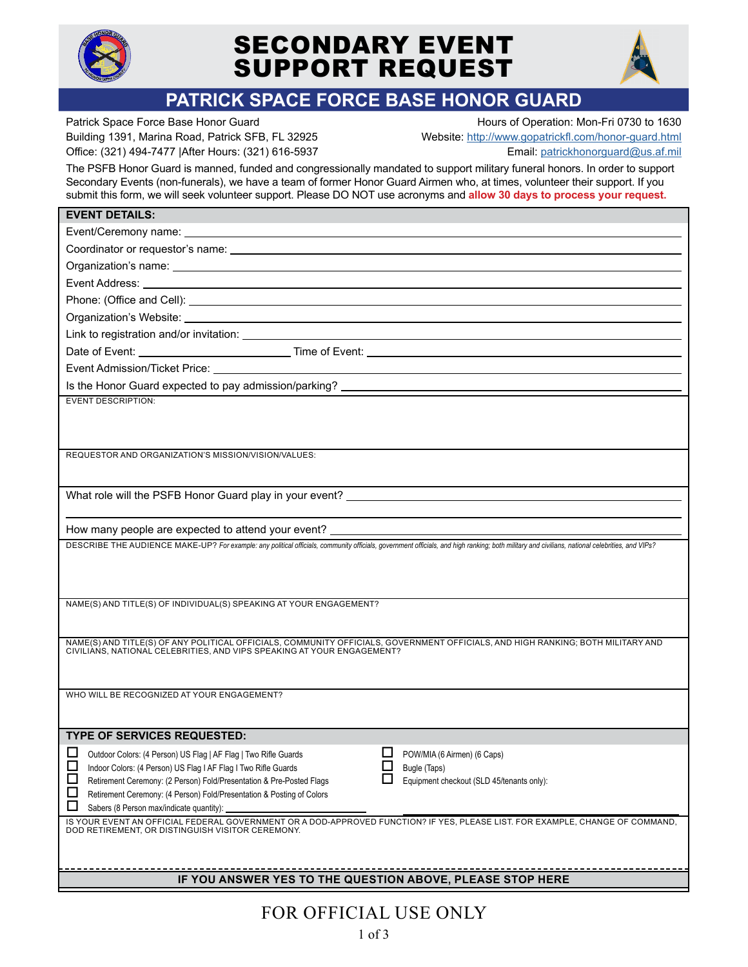

# SECONDARY EVENT SUPPORT REQUEST



## **PATRICK SPACE FORCE BASE HONOR GUARD**

Patrick Space Force Base Honor Guard **Hours of Operation: Mon-Fri 0730 to 1630** Office: (321) 494-7477 |After Hours: (321) 616-5937 Email: [patrickhonorguard@us.af.mil](mailto:patrickhonorguard%40us.af.mil?subject=)

Building 1391, Marina Road, Patrick SFB, FL 32925 Website: <http://www.gopatrickfl.com/honor-guard.html>

The PSFB Honor Guard is manned, funded and congressionally mandated to support military funeral honors. In order to support Secondary Events (non-funerals), we have a team of former Honor Guard Airmen who, at times, volunteer their support. If you submit this form, we will seek volunteer support. Please DO NOT use acronyms and **allow 30 days to process your request.**

| <b>EVENT DETAILS:</b>                                                                                                                                                                                                                |  |  |  |  |
|--------------------------------------------------------------------------------------------------------------------------------------------------------------------------------------------------------------------------------------|--|--|--|--|
|                                                                                                                                                                                                                                      |  |  |  |  |
|                                                                                                                                                                                                                                      |  |  |  |  |
| Organization's name: example and the contract of the contract of the contract of the contract of the contract of the contract of the contract of the contract of the contract of the contract of the contract of the contract        |  |  |  |  |
| Event Address: <u>executive and the contract of the contract of the contract of the contract of the contract of the contract of the contract of the contract of the contract of the contract of the contract of the contract of </u> |  |  |  |  |
|                                                                                                                                                                                                                                      |  |  |  |  |
|                                                                                                                                                                                                                                      |  |  |  |  |
|                                                                                                                                                                                                                                      |  |  |  |  |
|                                                                                                                                                                                                                                      |  |  |  |  |
|                                                                                                                                                                                                                                      |  |  |  |  |
|                                                                                                                                                                                                                                      |  |  |  |  |
| <b>EVENT DESCRIPTION:</b>                                                                                                                                                                                                            |  |  |  |  |
|                                                                                                                                                                                                                                      |  |  |  |  |
|                                                                                                                                                                                                                                      |  |  |  |  |
| REQUESTOR AND ORGANIZATION'S MISSION/VISION/VALUES:                                                                                                                                                                                  |  |  |  |  |
|                                                                                                                                                                                                                                      |  |  |  |  |
| What role will the PSFB Honor Guard play in your event? _________________________                                                                                                                                                    |  |  |  |  |
| the control of the control of the control of the control of the control of the control of the control of the control of the control of the control of the control of the control of the control of the control of the control        |  |  |  |  |
|                                                                                                                                                                                                                                      |  |  |  |  |
| DESCRIBE THE AUDIENCE MAKE-UP? For example: any political officials, community officials, government officials, and high ranking; both military and civilians, national celebrities, and VIPs?                                       |  |  |  |  |
|                                                                                                                                                                                                                                      |  |  |  |  |
|                                                                                                                                                                                                                                      |  |  |  |  |
|                                                                                                                                                                                                                                      |  |  |  |  |
| NAME(S) AND TITLE(S) OF INDIVIDUAL(S) SPEAKING AT YOUR ENGAGEMENT?                                                                                                                                                                   |  |  |  |  |
|                                                                                                                                                                                                                                      |  |  |  |  |
| NAME(S) AND TITLE(S) OF ANY POLITICAL OFFICIALS, COMMUNITY OFFICIALS, GOVERNMENT OFFICIALS, AND HIGH RANKING; BOTH MILITARY AND<br>CIVILIÀNS, NATIONAL CELEBRITIES, AND VIPS SPEAKING AT YOUR ENGAGEMENT?                            |  |  |  |  |
|                                                                                                                                                                                                                                      |  |  |  |  |
|                                                                                                                                                                                                                                      |  |  |  |  |
| WHO WILL BE RECOGNIZED AT YOUR ENGAGEMENT?                                                                                                                                                                                           |  |  |  |  |
|                                                                                                                                                                                                                                      |  |  |  |  |
| <b>TYPE OF SERVICES REQUESTED:</b>                                                                                                                                                                                                   |  |  |  |  |
| ΙI<br>Outdoor Colors: (4 Person) US Flag   AF Flag   Two Rifle Guards<br>POW/MIA (6 Airmen) (6 Caps)                                                                                                                                 |  |  |  |  |
| □<br>ப<br>Bugle (Taps)<br>Indoor Colors: (4 Person) US Flag I AF Flag I Two Rifle Guards                                                                                                                                             |  |  |  |  |
| Retirement Ceremony: (2 Person) Fold/Presentation & Pre-Posted Flags<br>Equipment checkout (SLD 45/tenants only):                                                                                                                    |  |  |  |  |
| Retirement Ceremony: (4 Person) Fold/Presentation & Posting of Colors                                                                                                                                                                |  |  |  |  |
| Sabers (8 Person max/indicate quantity):<br>IS YOUR EVENT AN OFFICIAL FEDERAL GOVERNMENT OR A DOD-APPROVED FUNCTION? IF YES, PLEASE LIST. FOR EXAMPLE, CHANGE OF COMMAND,                                                            |  |  |  |  |
| DOD RETIREMENT, OR DISTINGUISH VISITOR CEREMONY.                                                                                                                                                                                     |  |  |  |  |
|                                                                                                                                                                                                                                      |  |  |  |  |
|                                                                                                                                                                                                                                      |  |  |  |  |
| IF YOU ANSWER YES TO THE QUESTION ABOVE, PLEASE STOP HERE                                                                                                                                                                            |  |  |  |  |
|                                                                                                                                                                                                                                      |  |  |  |  |

FOR OFFICIAL USE ONLY 1 of 3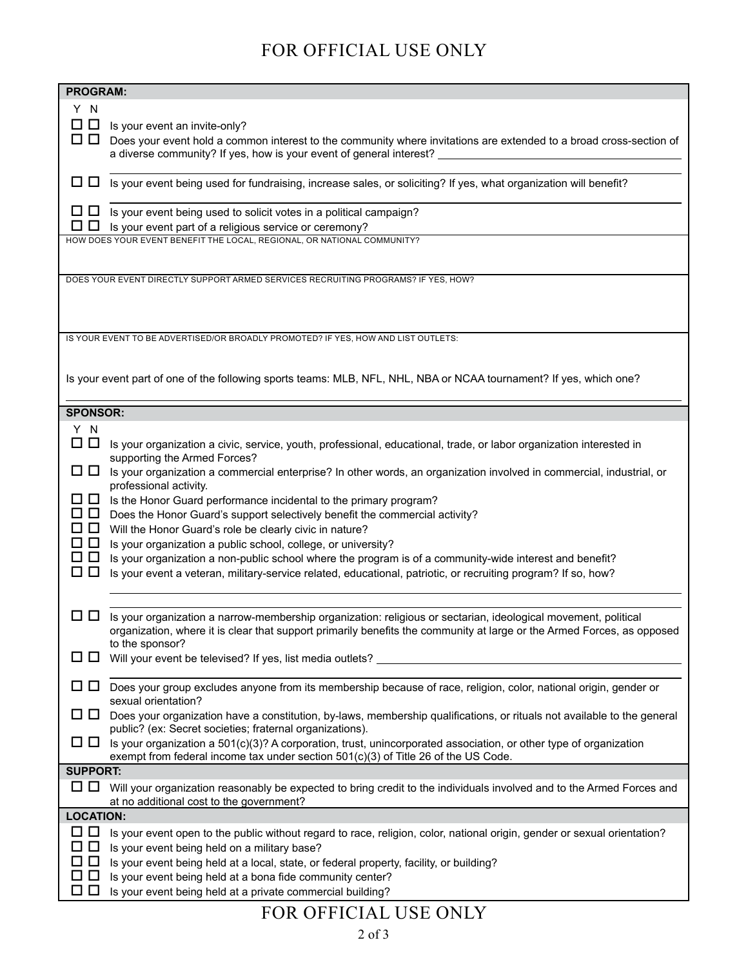### FOR OFFICIAL USE ONLY

| <b>PROGRAM:</b>                                                                                                                                                                                                                                                    |  |  |  |  |  |
|--------------------------------------------------------------------------------------------------------------------------------------------------------------------------------------------------------------------------------------------------------------------|--|--|--|--|--|
| Y N<br>□□<br>Is your event an invite-only?<br>◨◨<br>Does your event hold a common interest to the community where invitations are extended to a broad cross-section of<br>a diverse community? If yes, how is your event of general interest? _________            |  |  |  |  |  |
| □ □ Is your event being used for fundraising, increase sales, or soliciting? If yes, what organization will benefit?                                                                                                                                               |  |  |  |  |  |
| $\Box$ Is your event being used to solicit votes in a political campaign?<br>0 O<br>Is your event part of a religious service or ceremony?                                                                                                                         |  |  |  |  |  |
| HOW DOES YOUR EVENT BENEFIT THE LOCAL, REGIONAL, OR NATIONAL COMMUNITY?                                                                                                                                                                                            |  |  |  |  |  |
| DOES YOUR EVENT DIRECTLY SUPPORT ARMED SERVICES RECRUITING PROGRAMS? IF YES, HOW?<br>IS YOUR EVENT TO BE ADVERTISED/OR BROADLY PROMOTED? IF YES, HOW AND LIST OUTLETS:                                                                                             |  |  |  |  |  |
|                                                                                                                                                                                                                                                                    |  |  |  |  |  |
| Is your event part of one of the following sports teams: MLB, NFL, NHL, NBA or NCAA tournament? If yes, which one?                                                                                                                                                 |  |  |  |  |  |
| <b>SPONSOR:</b>                                                                                                                                                                                                                                                    |  |  |  |  |  |
| Y N<br>$\Box$ $\Box$<br>Is your organization a civic, service, youth, professional, educational, trade, or labor organization interested in<br>supporting the Armed Forces?                                                                                        |  |  |  |  |  |
| பப<br>Is your organization a commercial enterprise? In other words, an organization involved in commercial, industrial, or<br>professional activity.                                                                                                               |  |  |  |  |  |
| □□<br>Is the Honor Guard performance incidental to the primary program?                                                                                                                                                                                            |  |  |  |  |  |
| $\Box$<br>Does the Honor Guard's support selectively benefit the commercial activity?                                                                                                                                                                              |  |  |  |  |  |
| □□<br>Will the Honor Guard's role be clearly civic in nature?<br>□□<br>Is your organization a public school, college, or university?                                                                                                                               |  |  |  |  |  |
| □□<br>Is your organization a non-public school where the program is of a community-wide interest and benefit?                                                                                                                                                      |  |  |  |  |  |
| $\Box$<br>Is your event a veteran, military-service related, educational, patriotic, or recruiting program? If so, how?                                                                                                                                            |  |  |  |  |  |
|                                                                                                                                                                                                                                                                    |  |  |  |  |  |
| 0 O<br>Is your organization a narrow-membership organization: religious or sectarian, ideological movement, political<br>organization, where it is clear that support primarily benefits the community at large or the Armed Forces, as opposed<br>to the sponsor? |  |  |  |  |  |
| Will your event be televised? If yes, list media outlets?<br>$\Box$                                                                                                                                                                                                |  |  |  |  |  |
| .<br>Does your group excludes anyone from its membership because of race, religion, color, national origin, gender or<br>sexual orientation?                                                                                                                       |  |  |  |  |  |
| Does your organization have a constitution, by-laws, membership qualifications, or rituals not available to the general<br>ப<br>Ц<br>public? (ex: Secret societies; fraternal organizations).                                                                      |  |  |  |  |  |
| $\Box$ Is your organization a 501(c)(3)? A corporation, trust, unincorporated association, or other type of organization<br>exempt from federal income tax under section 501(c)(3) of Title 26 of the US Code.                                                     |  |  |  |  |  |
| <b>SUPPORT:</b>                                                                                                                                                                                                                                                    |  |  |  |  |  |
| □ □ Will your organization reasonably be expected to bring credit to the individuals involved and to the Armed Forces and<br>at no additional cost to the government?                                                                                              |  |  |  |  |  |
| <b>LOCATION:</b>                                                                                                                                                                                                                                                   |  |  |  |  |  |
| □□<br>Is your event open to the public without regard to race, religion, color, national origin, gender or sexual orientation?                                                                                                                                     |  |  |  |  |  |
| □ □<br>Is your event being held on a military base?<br>◻◻                                                                                                                                                                                                          |  |  |  |  |  |
| Is your event being held at a local, state, or federal property, facility, or building?<br>□□<br>Is your event being held at a bona fide community center?                                                                                                         |  |  |  |  |  |
| □□<br>Is your event being held at a private commercial building?                                                                                                                                                                                                   |  |  |  |  |  |